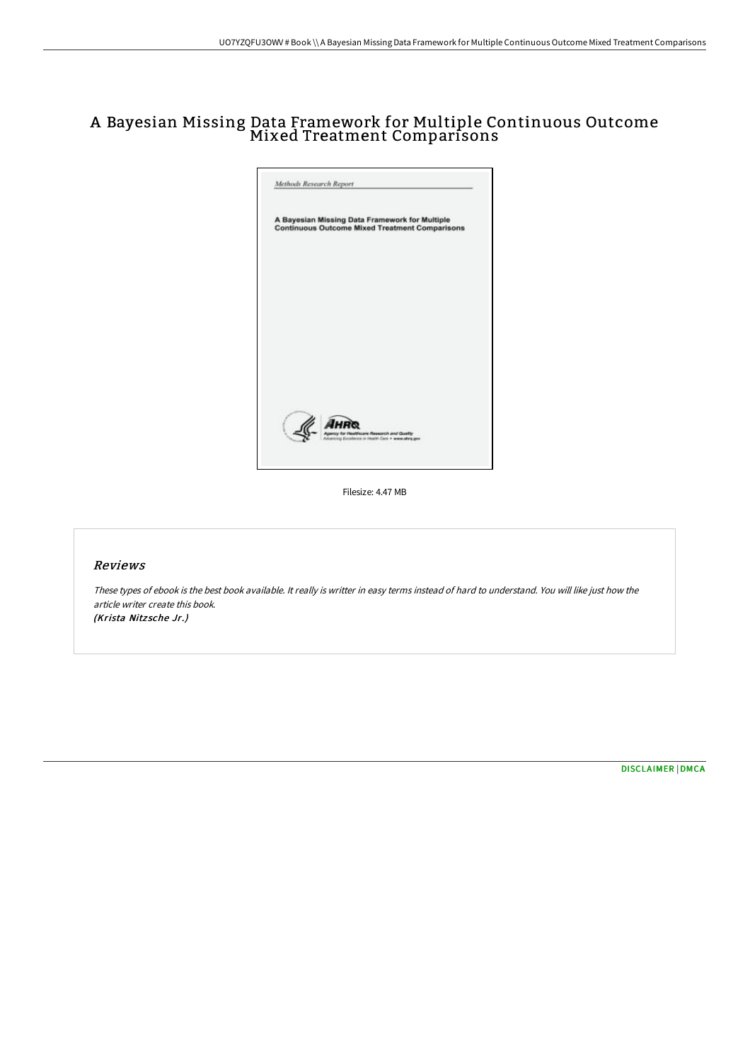## A Bayesian Missing Data Framework for Multiple Continuous Outcome Mixed Treatment Comparisons



Filesize: 4.47 MB

#### Reviews

These types of ebook is the best book available. It really is writter in easy terms instead of hard to understand. You will like just how the article writer create this book. (Krista Nitzsche Jr.)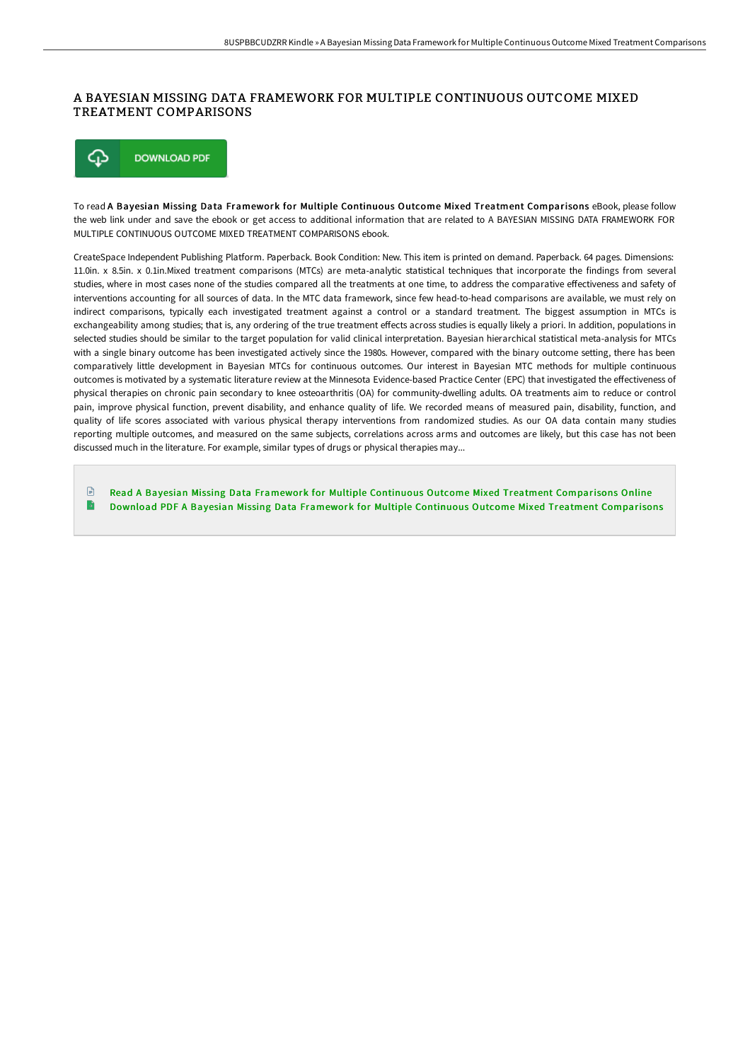## A BAYESIAN MISSING DATA FRAMEWORK FOR MULTIPLE CONTINUOUS OUTCOME MIXED TREATMENT COMPARISONS



To read A Bayesian Missing Data Framework for Multiple Continuous Outcome Mixed Treatment Comparisons eBook, please follow the web link under and save the ebook or get access to additional information that are related to A BAYESIAN MISSING DATA FRAMEWORK FOR MULTIPLE CONTINUOUS OUTCOME MIXED TREATMENT COMPARISONS ebook.

CreateSpace Independent Publishing Platform. Paperback. Book Condition: New. This item is printed on demand. Paperback. 64 pages. Dimensions: 11.0in. x 8.5in. x 0.1in.Mixed treatment comparisons (MTCs) are meta-analytic statistical techniques that incorporate the findings from several studies, where in most cases none of the studies compared all the treatments at one time, to address the comparative effectiveness and safety of interventions accounting for all sources of data. In the MTC data framework, since few head-to-head comparisons are available, we must rely on indirect comparisons, typically each investigated treatment against a control or a standard treatment. The biggest assumption in MTCs is exchangeability among studies; that is, any ordering of the true treatment effects across studies is equally likely a priori. In addition, populations in selected studies should be similar to the target population for valid clinical interpretation. Bayesian hierarchical statistical meta-analysis for MTCs with a single binary outcome has been investigated actively since the 1980s. However, compared with the binary outcome setting, there has been comparatively little development in Bayesian MTCs for continuous outcomes. Our interest in Bayesian MTC methods for multiple continuous outcomes is motivated by a systematic literature review at the Minnesota Evidence-based Practice Center (EPC) that investigated the effectiveness of physical therapies on chronic pain secondary to knee osteoarthritis (OA) for community-dwelling adults. OA treatments aim to reduce or control pain, improve physical function, prevent disability, and enhance quality of life. We recorded means of measured pain, disability, function, and quality of life scores associated with various physical therapy interventions from randomized studies. As our OA data contain many studies reporting multiple outcomes, and measured on the same subjects, correlations across arms and outcomes are likely, but this case has not been discussed much in the literature. For example, similar types of drugs or physical therapies may...

 $\mathbb{P}$ Read A Bayesian Missing Data Framework for Multiple Continuous Outcome Mixed Treatment [Comparisons](http://digilib.live/a-bayesian-missing-data-framework-for-multiple-c.html) Online B Download PDF A Bayesian Missing Data Framework for Multiple Continuous Outcome Mixed Treatment [Comparisons](http://digilib.live/a-bayesian-missing-data-framework-for-multiple-c.html)